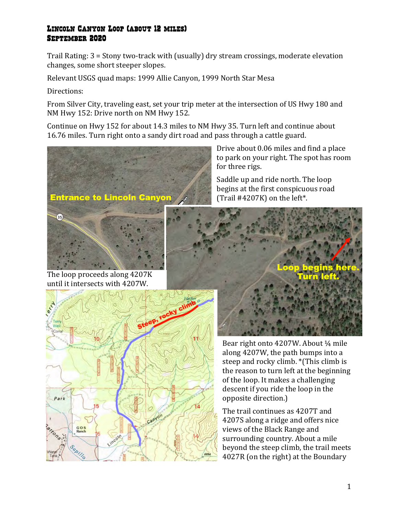## Lincoln Canyon Loop (about 12 miles) September 2020

Trail Rating: 3 = Stony two-track with (usually) dry stream crossings, moderate elevation changes, some short steeper slopes.

Relevant USGS quad maps: 1999 Allie Canyon, 1999 North Star Mesa

Directions:

From Silver City, traveling east, set your trip meter at the intersection of US Hwy 180 and NM Hwy 152: Drive north on NM Hwy 152.

Continue on Hwy 152 for about 14.3 miles to NM Hwy 35. Turn left and continue about 16.76 miles. Turn right onto a sandy dirt road and pass through a cattle guard.



Drive about 0.06 miles and find a place to park on your right. The spot has room for three rigs.

Saddle up and ride north. The loop begins at the first conspicuous road (Trail  $\#4207K$ ) on the left\*.



Bear right onto  $4207W$ . About  $\frac{1}{4}$  mile along 4207W, the path bumps into a steep and rocky climb. \*(This climb is the reason to turn left at the beginning of the loop. It makes a challenging descent if you ride the loop in the opposite direction.)

The trail continues as 4207T and 4207S along a ridge and offers nice views of the Black Range and surrounding country. About a mile beyond the steep climb, the trail meets 4027R (on the right) at the Boundary

The loop proceeds along 4207K until it intersects with 4207W.